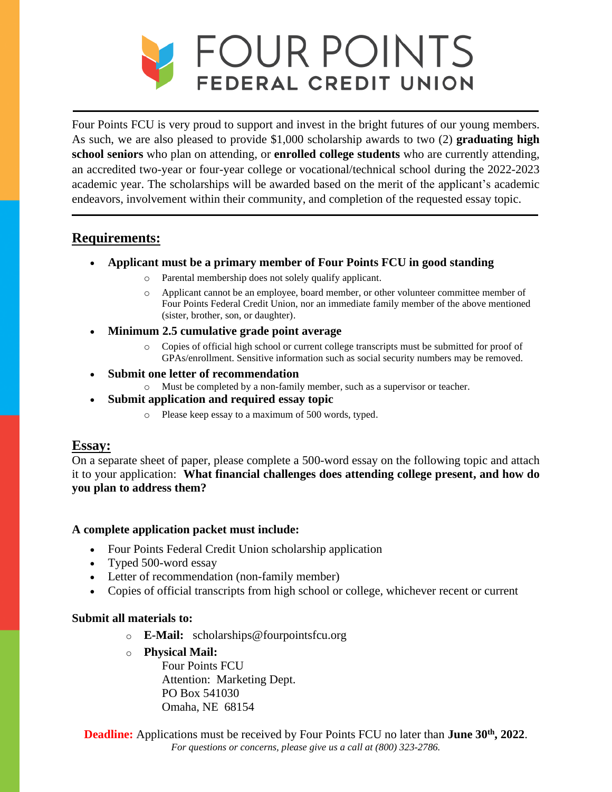

 academic year. The scholarships will be awarded based on the merit of the applicant's academic Four Points FCU is very proud to support and invest in the bright futures of our young members. As such, we are also pleased to provide \$1,000 scholarship awards to two (2) **graduating high school seniors** who plan on attending, or **enrolled college students** who are currently attending, an accredited two-year or four-year college or vocational/technical school during the 2022-2023 endeavors, involvement within their community, and completion of the requested essay topic.

# **Requirements:**

- **Applicant must be a primary member of Four Points FCU in good standing** 
	- o Parental membership does not solely qualify applicant.
	- o Applicant cannot be an employee, board member, or other volunteer committee member of Four Points Federal Credit Union, nor an immediate family member of the above mentioned (sister, brother, son, or daughter).
- **Minimum 2.5 cumulative grade point average** 
	- o Copies of official high school or current college transcripts must be submitted for proof of GPAs/enrollment. Sensitive information such as social security numbers may be removed.
- **Submit one letter of recommendation** 
	- o Must be completed by a non-family member, such as a supervisor or teacher.
- **Submit application and required essay topic** 
	- o Please keep essay to a maximum of 500 words, typed.

# **Essay:**

 it to your application: **What financial challenges does attending college present, and how do**  On a separate sheet of paper, please complete a 500-word essay on the following topic and attach **you plan to address them?** 

## **A complete application packet must include:**

- Four Points Federal Credit Union scholarship application
- Typed 500-word essay
- Letter of recommendation (non-family member)
- Copies of official transcripts from high school or college, whichever recent or current

## **Submit all materials to:**

- o **E-Mail:** scholarships@fourpointsfcu.org
- o **Physical Mail:**

Four Points FCU Attention: Marketing Dept. PO Box 541030 Omaha, NE 68154

 *For questions or concerns, please give us a call at (800) 323-2786.* **Deadline:** Applications must be received by Four Points FCU no later than **June 30<sup>th</sup>**, 2022.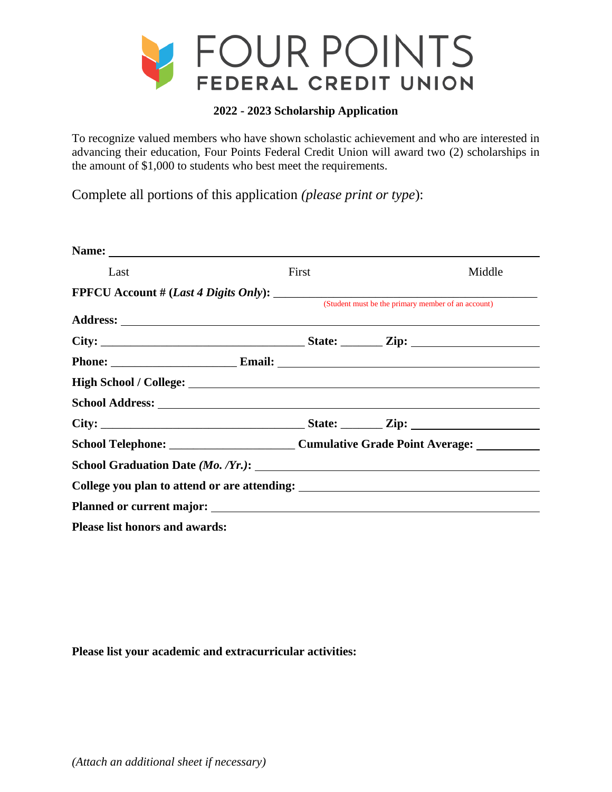

### **2022 - 2023 Scholarship Application**

 advancing their education, Four Points Federal Credit Union will award two (2) scholarships in To recognize valued members who have shown scholastic achievement and who are interested in the amount of \$1,000 to students who best meet the requirements.

Complete all portions of this application *(please print or type*):

| Name: Name and the second state of the second state of the second state of the second state of the second state of the second state of the second state of the second state of the second state of the second state of the sec |       |                                                    |  |
|--------------------------------------------------------------------------------------------------------------------------------------------------------------------------------------------------------------------------------|-------|----------------------------------------------------|--|
| Last                                                                                                                                                                                                                           | First | Middle                                             |  |
|                                                                                                                                                                                                                                |       | (Student must be the primary member of an account) |  |
|                                                                                                                                                                                                                                |       |                                                    |  |
|                                                                                                                                                                                                                                |       |                                                    |  |
| Phone: Email: Email:                                                                                                                                                                                                           |       |                                                    |  |
|                                                                                                                                                                                                                                |       |                                                    |  |
|                                                                                                                                                                                                                                |       |                                                    |  |
|                                                                                                                                                                                                                                |       |                                                    |  |
|                                                                                                                                                                                                                                |       |                                                    |  |
|                                                                                                                                                                                                                                |       |                                                    |  |
|                                                                                                                                                                                                                                |       |                                                    |  |
|                                                                                                                                                                                                                                |       |                                                    |  |
| <b>Please list honors and awards:</b>                                                                                                                                                                                          |       |                                                    |  |

**Please list your academic and extracurricular activities:**